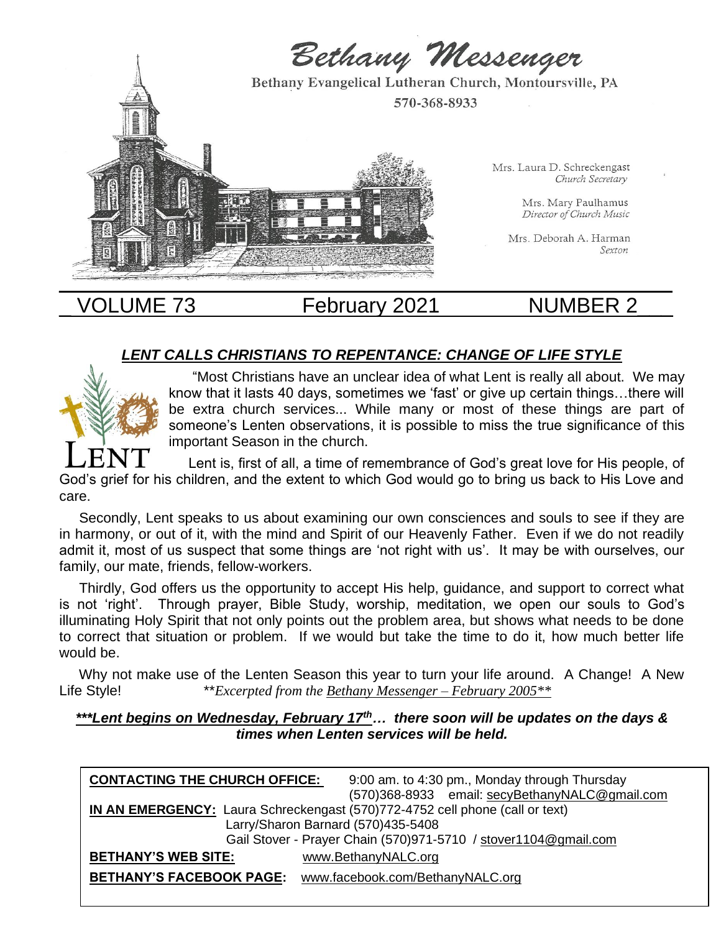

# VOLUME 73 February 2021 NUMBER 2

# *LENT CALLS CHRISTIANS TO REPENTANCE: CHANGE OF LIFE STYLE*



 "Most Christians have an unclear idea of what Lent is really all about. We may know that it lasts 40 days, sometimes we 'fast' or give up certain things…there will be extra church services... While many or most of these things are part of someone's Lenten observations, it is possible to miss the true significance of this important Season in the church.

 Lent is, first of all, a time of remembrance of God's great love for His people, of God's grief for his children, and the extent to which God would go to bring us back to His Love and care.

 Secondly, Lent speaks to us about examining our own consciences and souls to see if they are in harmony, or out of it, with the mind and Spirit of our Heavenly Father. Even if we do not readily admit it, most of us suspect that some things are 'not right with us'. It may be with ourselves, our family, our mate, friends, fellow-workers.

 Thirdly, God offers us the opportunity to accept His help, guidance, and support to correct what is not 'right'. Through prayer, Bible Study, worship, meditation, we open our souls to God's illuminating Holy Spirit that not only points out the problem area, but shows what needs to be done to correct that situation or problem. If we would but take the time to do it, how much better life would be.

 Why not make use of the Lenten Season this year to turn your life around. A Change! A New Life Style! \*\**Excerpted from the Bethany Messenger – February 2005\*\**

*\*\*\*Lent begins on Wednesday, February 17th… there soon will be updates on the days & times when Lenten services will be held.*

| <b>CONTACTING THE CHURCH OFFICE:</b>                                         | 9:00 am. to 4:30 pm., Monday through Thursday  |  |
|------------------------------------------------------------------------------|------------------------------------------------|--|
|                                                                              | (570)368-8933 email: secyBethanyNALC@gmail.com |  |
| IN AN EMERGENCY: Laura Schreckengast (570)772-4752 cell phone (call or text) |                                                |  |
|                                                                              | Larry/Sharon Barnard (570)435-5408             |  |
| Gail Stover - Prayer Chain (570)971-5710 / stover1104@gmail.com              |                                                |  |
| <b>BETHANY'S WEB SITE:</b>                                                   | www.BethanyNALC.org                            |  |
| <b>BETHANY'S FACEBOOK PAGE:</b>                                              | www.facebook.com/BethanyNALC.org               |  |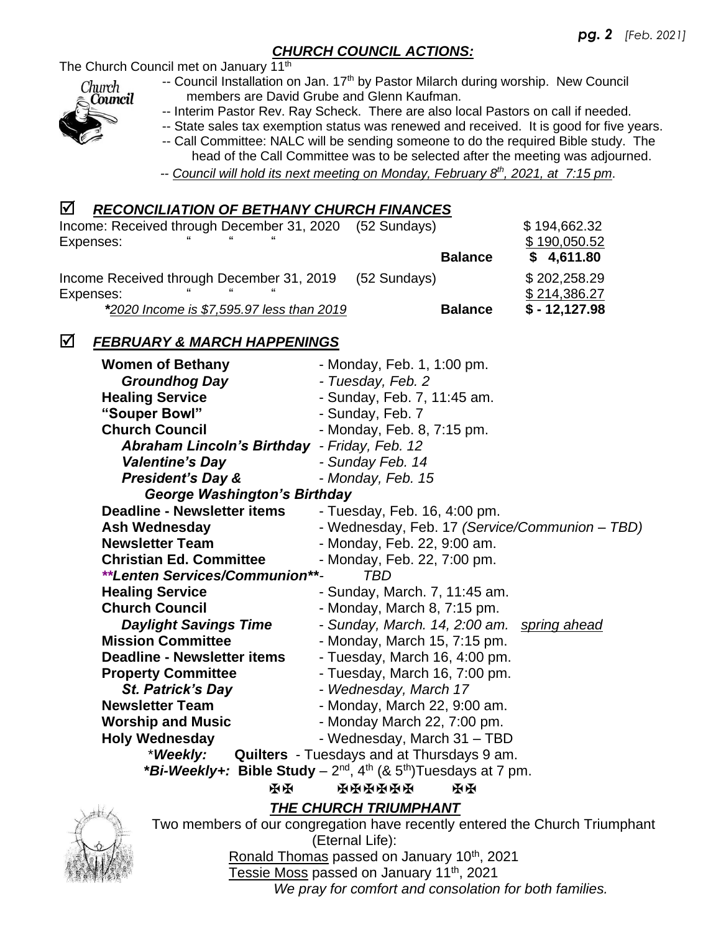## *CHURCH COUNCIL ACTIONS:*

The Church Council met on January 11<sup>th</sup>



- -- Council Installation on Jan. 17<sup>th</sup> by Pastor Milarch during worship. New Council members are David Grube and Glenn Kaufman.
- -- Interim Pastor Rev. Ray Scheck. There are also local Pastors on call if needed.
- -- State sales tax exemption status was renewed and received. It is good for five years.
- -- Call Committee: NALC will be sending someone to do the required Bible study. The head of the Call Committee was to be selected after the meeting was adjourned.
- *-- Council will hold its next meeting on Monday, February 8th , 2021, at 7:15 pm*.

## *RECONCILIATION OF BETHANY CHURCH FINANCES*

| Income: Received through December 31, 2020<br>Expenses: | (52 Sundays)   | \$194,662.32<br>\$190,050.52 |
|---------------------------------------------------------|----------------|------------------------------|
|                                                         | <b>Balance</b> | \$4,611.80                   |
| Income Received through December 31, 2019<br>Expenses:  | (52 Sundays)   | \$202,258.29<br>\$214,386.27 |
| *2020 Income is \$7,595.97 less than 2019               | <b>Balance</b> | $$ - 12,127.98$              |

## *FEBRUARY & MARCH HAPPENINGS*

| <b>Women of Bethany</b>                                                       | - Monday, Feb. 1, 1:00 pm.                        |  |
|-------------------------------------------------------------------------------|---------------------------------------------------|--|
| <b>Groundhog Day</b>                                                          | - Tuesday, Feb. 2                                 |  |
| <b>Healing Service</b>                                                        | - Sunday, Feb. 7, 11:45 am.                       |  |
| "Souper Bowl"                                                                 | - Sunday, Feb. 7                                  |  |
| <b>Church Council</b>                                                         | - Monday, Feb. 8, 7:15 pm.                        |  |
| <b>Abraham Lincoln's Birthday</b>                                             | - Friday, Feb. 12                                 |  |
| <b>Valentine's Day</b>                                                        | - Sunday Feb. 14                                  |  |
| <b>President's Day &amp;</b>                                                  | - Monday, Feb. 15                                 |  |
| <b>George Washington's Birthday</b>                                           |                                                   |  |
| <b>Deadline - Newsletter items</b>                                            | - Tuesday, Feb. 16, 4:00 pm.                      |  |
| <b>Ash Wednesday</b>                                                          | - Wednesday, Feb. 17 (Service/Communion – TBD)    |  |
| <b>Newsletter Team</b>                                                        | - Monday, Feb. 22, 9:00 am.                       |  |
| <b>Christian Ed. Committee</b>                                                | - Monday, Feb. 22, 7:00 pm.                       |  |
| **Lenten Services/Communion**-<br>TBD                                         |                                                   |  |
| <b>Healing Service</b>                                                        | - Sunday, March. 7, 11:45 am.                     |  |
| <b>Church Council</b>                                                         | - Monday, March 8, 7:15 pm.                       |  |
| <b>Daylight Savings Time</b>                                                  | - Sunday, March. 14, 2:00 am. spring ahead        |  |
| <b>Mission Committee</b>                                                      | - Monday, March 15, 7:15 pm.                      |  |
| <b>Deadline - Newsletter items</b>                                            | - Tuesday, March 16, 4:00 pm.                     |  |
| <b>Property Committee</b>                                                     | - Tuesday, March 16, 7:00 pm.                     |  |
| <b>St. Patrick's Day</b>                                                      | - Wednesday, March 17                             |  |
| <b>Newsletter Team</b>                                                        | - Monday, March 22, 9:00 am.                      |  |
| <b>Worship and Music</b>                                                      | - Monday March 22, 7:00 pm.                       |  |
| <b>Holy Wednesday</b>                                                         | - Wednesday, March 31 - TBD                       |  |
| *Weekly:                                                                      | <b>Quilters</b> - Tuesdays and at Thursdays 9 am. |  |
| *Bi-Weekly+: Bible Study – $2^{nd}$ , $4^{th}$ (& $5^{th}$ )Tuesdays at 7 pm. |                                                   |  |
| ЖX                                                                            | <b>XKKKKKX</b><br>ЖX                              |  |
| THE CHURCH TRIUMPHANT<br>#                                                    |                                                   |  |



 Two members of our congregation have recently entered the Church Triumphant (Eternal Life): Ronald Thomas passed on January 10<sup>th</sup>, 2021

Tessie Moss passed on January 11<sup>th</sup>, 2021

 *We pray for comfort and consolation for both families.*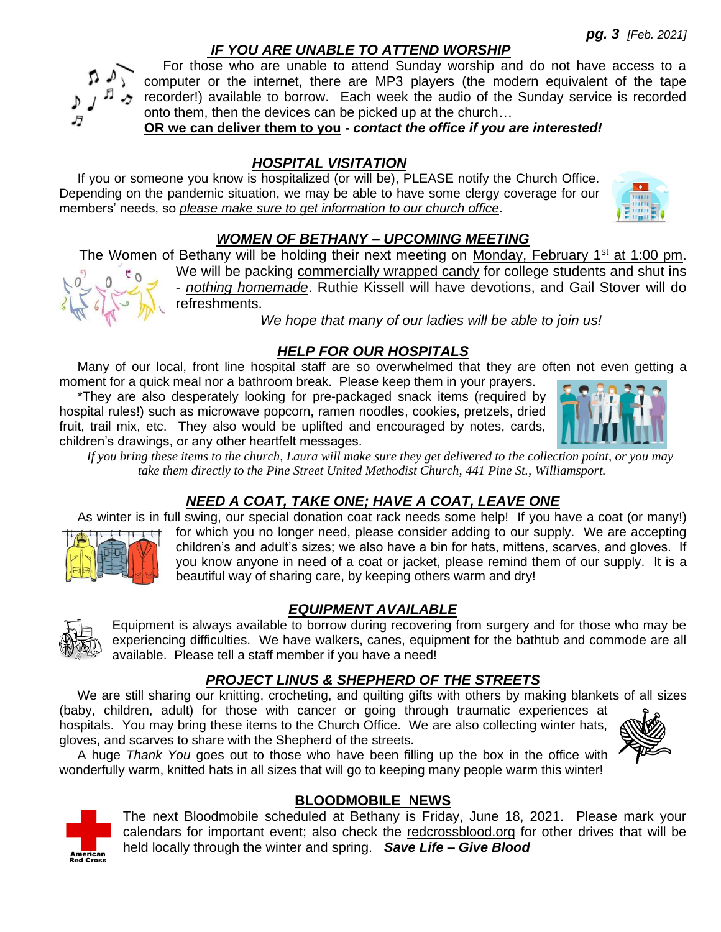## *IF YOU ARE UNABLE TO ATTEND WORSHIP*

 For those who are unable to attend Sunday worship and do not have access to a computer or the internet, there are MP3 players (the modern equivalent of the tape recorder!) available to borrow. Each week the audio of the Sunday service is recorded onto them, then the devices can be picked up at the church…

**OR we can deliver them to you -** *contact the office if you are interested!*

## *HOSPITAL VISITATION*

 If you or someone you know is hospitalized (or will be), PLEASE notify the Church Office. Depending on the pandemic situation, we may be able to have some clergy coverage for our members' needs, so *please make sure to get information to our church office*.

## *WOMEN OF BETHANY – UPCOMING MEETING*

The Women of Bethany will be holding their next meeting on Monday, February 1<sup>st</sup> at 1:00 pm.

We will be packing commercially wrapped candy for college students and shut ins - *nothing homemade*. Ruthie Kissell will have devotions, and Gail Stover will do refreshments.

*We hope that many of our ladies will be able to join us!*

# *HELP FOR OUR HOSPITALS*

 Many of our local, front line hospital staff are so overwhelmed that they are often not even getting a moment for a quick meal nor a bathroom break. Please keep them in your prayers.

 \*They are also desperately looking for pre-packaged snack items (required by hospital rules!) such as microwave popcorn, ramen noodles, cookies, pretzels, dried fruit, trail mix, etc. They also would be uplifted and encouraged by notes, cards, children's drawings, or any other heartfelt messages.

 *If you bring these items to the church, Laura will make sure they get delivered to the collection point, or you may take them directly to the Pine Street United Methodist Church, 441 Pine St., Williamsport.*

# *NEED A COAT, TAKE ONE; HAVE A COAT, LEAVE ONE*

As winter is in full swing, our special donation coat rack needs some help! If you have a coat (or many!)



for which you no longer need, please consider adding to our supply. We are accepting children's and adult's sizes; we also have a bin for hats, mittens, scarves, and gloves. If you know anyone in need of a coat or jacket, please remind them of our supply. It is a beautiful way of sharing care, by keeping others warm and dry!

# *EQUIPMENT AVAILABLE*

Equipment is always available to borrow during recovering from surgery and for those who may be experiencing difficulties. We have walkers, canes, equipment for the bathtub and commode are all available. Please tell a staff member if you have a need!

# *PROJECT LINUS & SHEPHERD OF THE STREETS*

We are still sharing our knitting, crocheting, and quilting gifts with others by making blankets of all sizes (baby, children, adult) for those with cancer or going through traumatic experiences at

hospitals. You may bring these items to the Church Office. We are also collecting winter hats, gloves, and scarves to share with the Shepherd of the streets.



 A huge *Thank You* goes out to those who have been filling up the box in the office with wonderfully warm, knitted hats in all sizes that will go to keeping many people warm this winter!

# **BLOODMOBILE NEWS**

The next Bloodmobile scheduled at Bethany is Friday, June 18, 2021. Please mark your calendars for important event; also check the redcrossblood.org for other drives that will be held locally through the winter and spring. *Save Life – Give Blood*



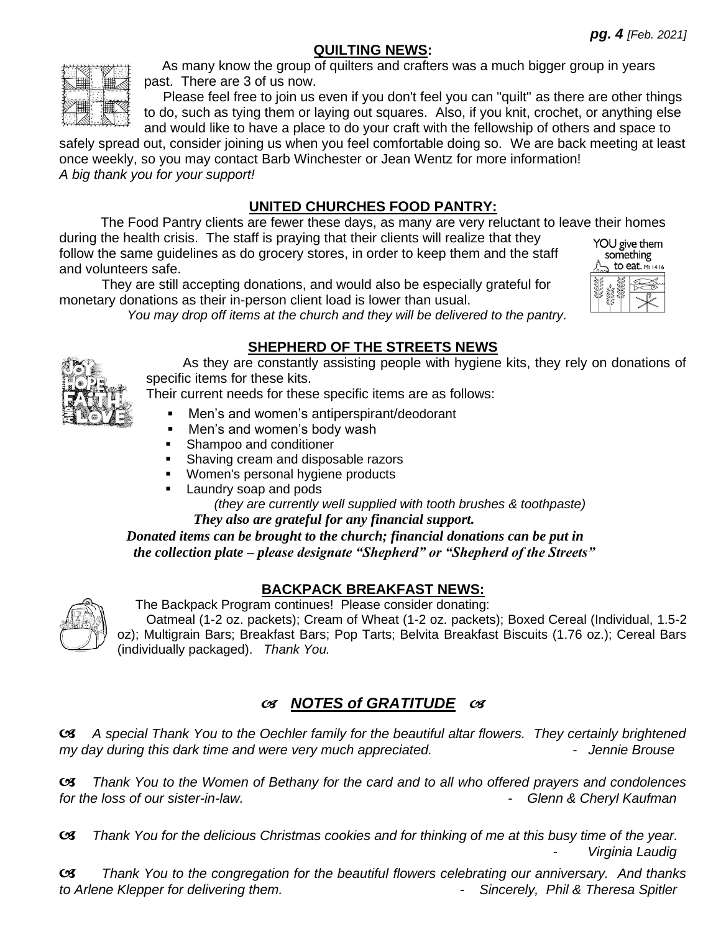## **QUILTING NEWS:**



 As many know the group of quilters and crafters was a much bigger group in years past. There are 3 of us now.

 Please feel free to join us even if you don't feel you can "quilt" as there are other things to do, such as tying them or laying out squares. Also, if you knit, crochet, or anything else and would like to have a place to do your craft with the fellowship of others and space to

safely spread out, consider joining us when you feel comfortable doing so. We are back meeting at least once weekly, so you may contact Barb Winchester or Jean Wentz for more information! *A big thank you for your support!*

# **UNITED CHURCHES FOOD PANTRY:**

 The Food Pantry clients are fewer these days, as many are very reluctant to leave their homes during the health crisis. The staff is praying that their clients will realize that they YOU give them follow the same guidelines as do grocery stores, in order to keep them and the staff

and volunteers safe.

 They are still accepting donations, and would also be especially grateful for monetary donations as their in-person client load is lower than usual.



*You may drop off items at the church and they will be delivered to the pantry.*

## **SHEPHERD OF THE STREETS NEWS**

 As they are constantly assisting people with hygiene kits, they rely on donations of specific items for these kits.

Their current needs for these specific items are as follows:

- Men's and women's antiperspirant/deodorant
- Men's and women's body wash
- **EXE** Shampoo and conditioner
- Shaving cream and disposable razors
- Women's personal hygiene products
- **■** Laundry soap and pods

 *(they are currently well supplied with tooth brushes & toothpaste) They also are grateful for any financial support.*

 *Donated items can be brought to the church; financial donations can be put in the collection plate – please designate "Shepherd" or "Shepherd of the Streets"* 



# **BACKPACK BREAKFAST NEWS:**

The Backpack Program continues! Please consider donating:

 Oatmeal (1-2 oz. packets); Cream of Wheat (1-2 oz. packets); Boxed Cereal (Individual, 1.5-2 oz); Multigrain Bars; Breakfast Bars; Pop Tarts; Belvita Breakfast Biscuits (1.76 oz.); Cereal Bars (individually packaged). *Thank You.*

# *NOTES of GRATITUDE*

 *A special Thank You to the Oechler family for the beautiful altar flowers. They certainly brightened my day during this dark time and were very much appreciated.* The *summer of the prouse* the *Hennie Brouse* 

 *Thank You to the Women of Bethany for the card and to all who offered prayers and condolences for the loss of our sister-in-law. - Glenn & Cheryl Kaufman*

 *Thank You for the delicious Christmas cookies and for thinking of me at this busy time of the year. Virginia Laudig* 

 *Thank You to the congregation for the beautiful flowers celebrating our anniversary. And thanks to Arlene Klepper for delivering them. - Sincerely, Phil & Theresa Spitler*

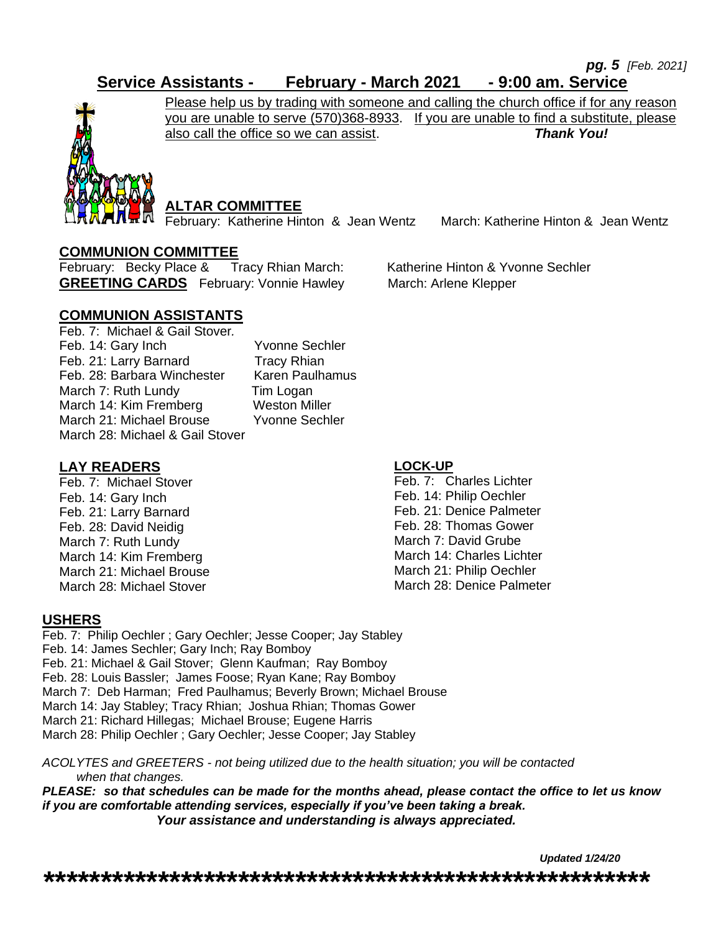*pg. 5 [Feb. 2021]* 

# **Service Assistants - February - March 2021 - 9:00 am. Service**



Please help us by trading with someone and calling the church office if for any reason you are unable to serve (570)368-8933. If you are unable to find a substitute, please also call the office so we can assist. *Thank You!* 

## **ALTAR COMMITTEE**

February: Katherine Hinton & Jean Wentz March: Katherine Hinton & Jean Wentz

### **COMMUNION COMMITTEE**

February: Becky Place & Tracy Rhian March: Katherine Hinton & Yvonne Sechler **GREETING CARDS** February: Vonnie Hawley March: Arlene Klepper

### **COMMUNION ASSISTANTS**

Feb. 7: Michael & Gail Stover*.* Feb. 14: Gary Inch Yvonne Sechler Feb. 21: Larry Barnard Tracy Rhian Feb. 28: Barbara Winchester Karen Paulhamus March 7: Ruth Lundy Tim Logan March 14: Kim Fremberg Weston Miller March 21: Michael Brouse Yvonne Sechler March 28: Michael & Gail Stover

### **LAY READERS**

Feb. 7: Michael Stover Feb. 14: Gary Inch Feb. 21: Larry Barnard Feb. 28: David Neidig March 7: Ruth Lundy March 14: Kim Fremberg March 21: Michael Brouse March 28: Michael Stover

#### **LOCK-UP**

Feb. 7: Charles Lichter Feb. 14: Philip Oechler Feb. 21: Denice Palmeter Feb. 28: Thomas Gower March 7: David Grube March 14: Charles Lichter March 21: Philip Oechler March 28: Denice Palmeter

### **USHERS**

Feb. 7: Philip Oechler ; Gary Oechler; Jesse Cooper; Jay Stabley Feb. 14: James Sechler; Gary Inch; Ray Bomboy Feb. 21: Michael & Gail Stover; Glenn Kaufman; Ray Bomboy Feb. 28: Louis Bassler; James Foose; Ryan Kane; Ray Bomboy March 7: Deb Harman; Fred Paulhamus; Beverly Brown; Michael Brouse March 14: Jay Stabley; Tracy Rhian; Joshua Rhian; Thomas Gower March 21: Richard Hillegas; Michael Brouse; Eugene Harris March 28: Philip Oechler ; Gary Oechler; Jesse Cooper; Jay Stabley

*ACOLYTES and GREETERS - not being utilized due to the health situation; you will be contacted when that changes.* 

*PLEASE: so that schedules can be made for the months ahead, please contact the office to let us know if you are comfortable attending services, especially if you've been taking a break.*  *Your assistance and understanding is always appreciated.*